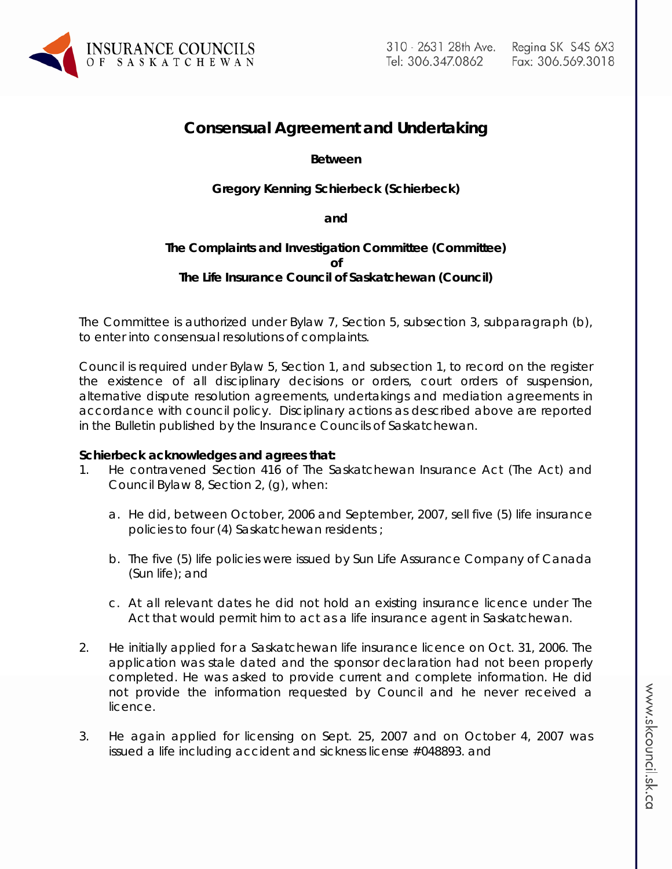

# **Consensual Agreement and Undertaking**

# **Between**

# **Gregory Kenning Schierbeck (Schierbeck)**

### **and**

# **The Complaints and Investigation Committee (Committee) of The Life Insurance Council of Saskatchewan (Council)**

The Committee is authorized under Bylaw 7, Section 5, subsection 3, subparagraph (b), to enter into consensual resolutions of complaints.

Council is required under Bylaw 5, Section 1, and subsection 1, to record on the register the existence of all disciplinary decisions or orders, court orders of suspension, alternative dispute resolution agreements, undertakings and mediation agreements in accordance with council policy. Disciplinary actions as described above are reported in the Bulletin published by the Insurance Councils of Saskatchewan.

## **Schierbeck acknowledges and agrees that:**

- 1. He contravened Section 416 of *The Saskatchewan Insurance Act* (The Act) and Council Bylaw 8, Section 2, (g), when:
	- a. He did, between October, 2006 and September, 2007, sell five (5) life insurance policies to four (4) Saskatchewan residents ;
	- b. The five (5) life policies were issued by Sun Life Assurance Company of Canada (Sun life); and
	- c. At all relevant dates he did not hold an existing insurance licence under The Act that would permit him to act as a life insurance agent in Saskatchewan.
- 2. He initially applied for a Saskatchewan life insurance licence on Oct. 31, 2006. The application was stale dated and the sponsor declaration had not been properly completed. He was asked to provide current and complete information. He did not provide the information requested by Council and he never received a licence.
- 3. He again applied for licensing on Sept. 25, 2007 and on October 4, 2007 was issued a life including accident and sickness license #048893. and